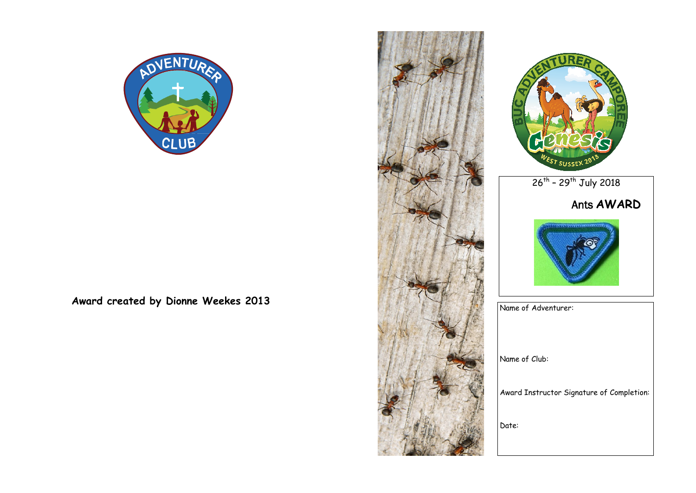

**Award created by Dionne Weekes 2013**





26<sup>th</sup> - 29<sup>th</sup> July 2018

## Ants **AWARD**



Name of Adventurer:

Name of Club:

Award Instructor Signature of Completion:

Date: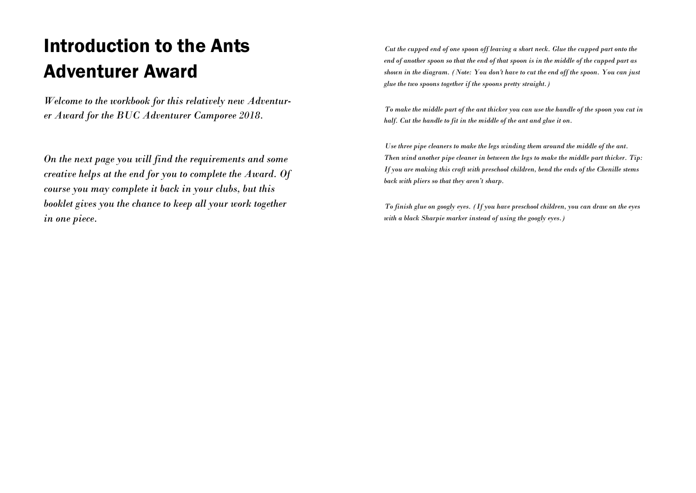# Introduction to the Ants Adventurer Award

*Welcome to the workbook for this relatively new Adventurer Award for the BUC Adventurer Camporee 2018.*

*On the next page you will find the requirements and some creative helps at the end for you to complete the Award. Of course you may complete it back in your clubs, but this booklet gives you the chance to keep all your work together in one piece.*

*Cut the cupped end of one spoon off leaving a short neck. Glue the cupped part onto the end of another spoon so that the end of that spoon is in the middle of the cupped part as shown in the diagram. (Note: You don't have to cut the end off the spoon. You can just glue the two spoons together if the spoons pretty straight.)*

*To make the middle part of the ant thicker you can use the handle of the spoon you cut in half. Cut the handle to fit in the middle of the ant and glue it on.*

*Use three pipe cleaners to make the legs winding them around the middle of the ant. Then wind another pipe cleaner in between the legs to make the middle part thicker. Tip: If you are making this craft with preschool children, bend the ends of the Chenille stems back with pliers so that they aren't sharp.*

*To finish glue on googly eyes. (If you have preschool children, you can draw on the eyes with a black Sharpie marker instead of using the googly eyes.)*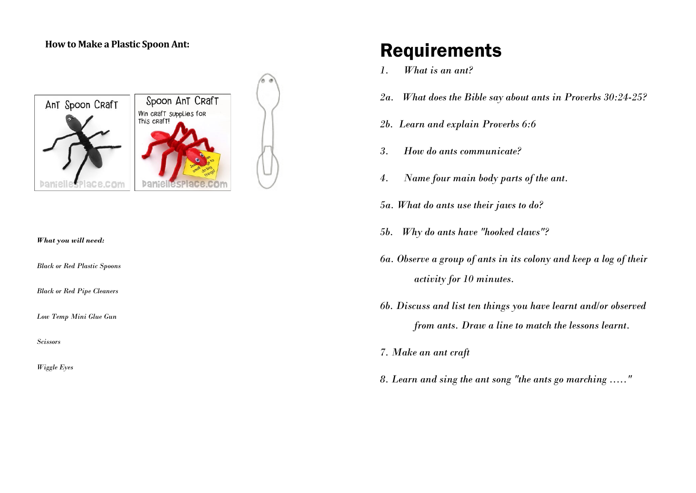## **How to Make a Plastic Spoon Ant:**



### *What you will need:*

*Black or Red Plastic Spoons*

*Black or Red Pipe Cleaners*

*Low Temp Mini Glue Gun*

*Scissors*

*Wiggle Eyes*

## Requirements

- *1. What is an ant?*
- *2a. What does the Bible say about ants in Proverbs 30:24-25?*
- *2b. Learn and explain Proverbs 6:6*
- *3. How do ants communicate?*
- *4. Name four main body parts of the ant.*
- *5a. What do ants use their jaws to do?*
- *5b. Why do ants have "hooked claws"?*
- *6a. Observe a group of ants in its colony and keep a log of their activity for 10 minutes.*
- *6b. Discuss and list ten things you have learnt and/or observed from ants. Draw a line to match the lessons learnt.*
- *7. Make an ant craft*
- *8. Learn and sing the ant song "the ants go marching ....."*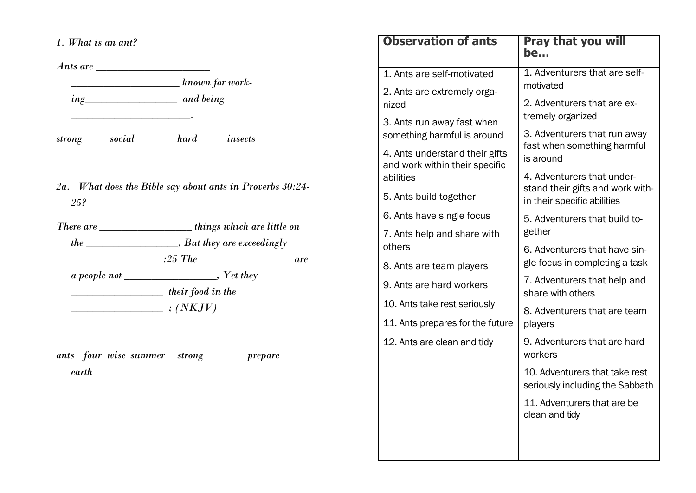*1. What is an ant?*

*Ants are \_\_\_\_\_\_\_\_\_\_\_\_\_\_\_\_\_\_\_\_\_ \_\_\_\_\_\_\_\_\_\_\_\_\_\_\_\_\_\_\_\_ known for work-*

*\_\_\_\_\_\_\_\_\_\_\_\_\_\_\_\_\_\_\_\_\_\_.* 

*ing\_\_\_\_\_\_\_\_\_\_\_\_\_\_\_\_\_ and being* 

*strong social hard insects*

*2a. What does the Bible say about ants in Proverbs 30:24- 25?* 

| <i>There are</i> | things which are little on                          |     |
|------------------|-----------------------------------------------------|-----|
| <i>the</i>       | $\Box$ , But they are exceedingly                   |     |
|                  | $:25$ The                                           | are |
|                  | <i>a people not</i> _____________________, Yet they |     |
|                  | their food in the                                   |     |
|                  | ; (NKJV)                                            |     |

*ants four wise summer strong prepare earth*

| <b>Observation of ants</b>                                       | <b>Pray that you will</b><br>be                                   |  |
|------------------------------------------------------------------|-------------------------------------------------------------------|--|
| 1. Ants are self-motivated                                       | 1. Adventurers that are self-                                     |  |
| 2. Ants are extremely orga-                                      | motivated                                                         |  |
| nized                                                            | 2. Adventurers that are ex-<br>tremely organized                  |  |
| 3. Ants run away fast when                                       | 3. Adventurers that run away                                      |  |
| something harmful is around                                      | fast when something harmful                                       |  |
| 4. Ants understand their gifts<br>and work within their specific | is around                                                         |  |
| abilities                                                        | 4. Adventurers that under-                                        |  |
| 5. Ants build together                                           | stand their gifts and work with-<br>in their specific abilities   |  |
| 6. Ants have single focus                                        | 5. Adventurers that build to-                                     |  |
| 7. Ants help and share with                                      | gether                                                            |  |
| others                                                           | 6. Adventurers that have sin-                                     |  |
| 8. Ants are team players                                         | gle focus in completing a task                                    |  |
| 9. Ants are hard workers                                         | 7. Adventurers that help and<br>share with others                 |  |
| 10. Ants take rest seriously                                     | 8. Adventurers that are team<br>players                           |  |
| 11. Ants prepares for the future                                 |                                                                   |  |
| 12. Ants are clean and tidy                                      | 9. Adventurers that are hard<br>workers                           |  |
|                                                                  | 10. Adventurers that take rest<br>seriously including the Sabbath |  |
|                                                                  | 11. Adventurers that are be<br>clean and tidy                     |  |
|                                                                  |                                                                   |  |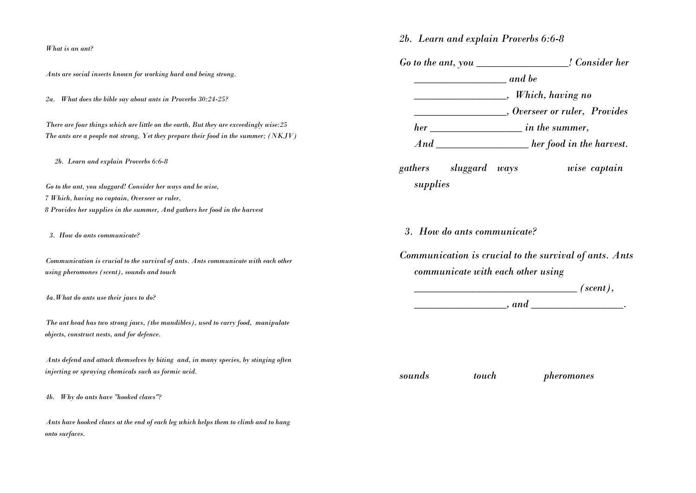#### *What is an ant?*

*Ants are social insects known for working hard and being strong.* 

*2a. What does the bible say about ants in Proverbs 30:24-25?* 

*There are four things which are little on the earth, But they are exceedingly wise:25 The ants are a people not strong, Yet they prepare their food in the summer; (NKJV)* 

 *2b. Learn and explain Proverbs 6:6-8* 

*Go to the ant, you sluggard! Consider her ways and be wise, 7 Which, having no captain, Overseer or ruler, 8 Provides her supplies in the summer, And gathers her food in the harvest*

 *3. How do ants communicate?* 

*Communication is crucial to the survival of ants. Ants communicate with each other using pheromones (scent), sounds and touch* 

*4a.What do ants use their jaws to do?* 

*The ant head has two strong jaws, (the mandibles), used to carry food, manipulate objects, construct nests, and for defence.* 

*Ants defend and attack themselves by biting and, in many species, by stinging often injecting or spraying chemicals such as formic acid.*

*4b. Why do ants have "hooked claws"?* 

*Ants have hooked claws at the end of each leg which helps them to climb and to hang onto surfaces.* 

*2b. Learn and explain Proverbs 6:6-8* 



 $and$   $\ldots$ 

*sounds touch pheromones*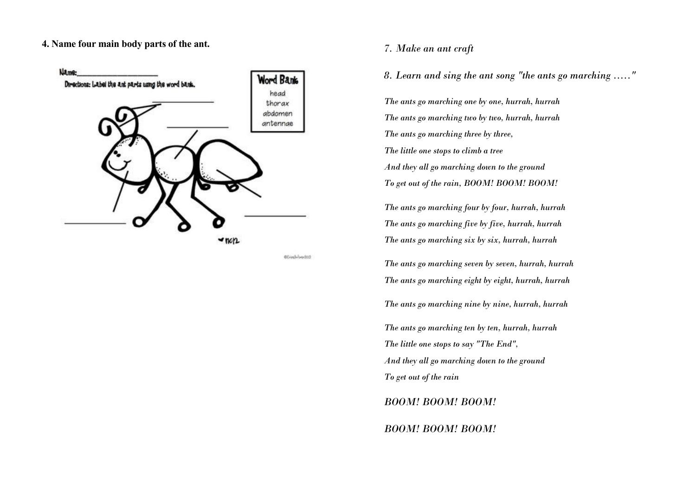**4. Name four main body parts of the ant.** *7. Make an ant craft* 



**Olvisbloodtd** 

*8. Learn and sing the ant song "the ants go marching ....."* 

*The ants go marching one by one, hurrah, hurrah The ants go marching two by two, hurrah, hurrah The ants go marching three by three, The little one stops to climb a tree And they all go marching down to the ground To get out of the rain, BOOM! BOOM! BOOM!*

*The ants go marching four by four, hurrah, hurrah The ants go marching five by five, hurrah, hurrah The ants go marching six by six, hurrah, hurrah*

*The ants go marching seven by seven, hurrah, hurrah The ants go marching eight by eight, hurrah, hurrah* 

*The ants go marching nine by nine, hurrah, hurrah*

*The ants go marching ten by ten, hurrah, hurrah The little one stops to say "The End", And they all go marching down to the ground To get out of the rain*

## *BOOM! BOOM! BOOM!*

*BOOM! BOOM! BOOM!*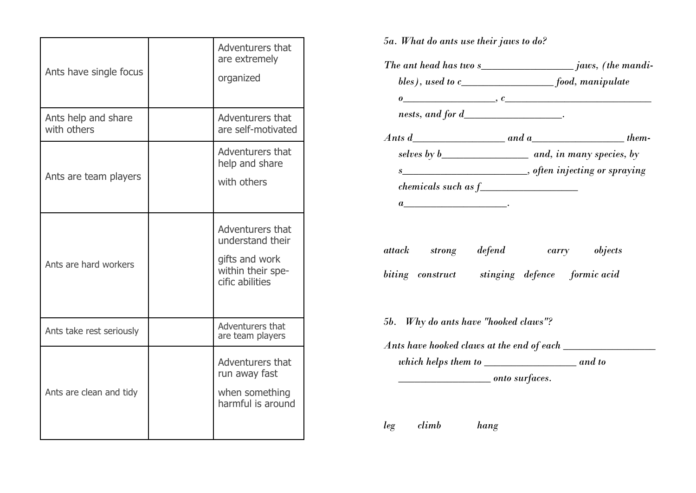| Ants have single focus             | Adventurers that<br>are extremely<br>organized                                                 |
|------------------------------------|------------------------------------------------------------------------------------------------|
| Ants help and share<br>with others | Adventurers that<br>are self-motivated                                                         |
| Ants are team players              | Adventurers that<br>help and share<br>with others                                              |
| Ants are hard workers              | Adventurers that<br>understand their<br>gifts and work<br>within their spe-<br>cific abilities |
| Ants take rest seriously           | Adventurers that<br>are team players                                                           |
| Ants are clean and tidy            | Adventurers that<br>run away fast<br>when something<br>harmful is around                       |